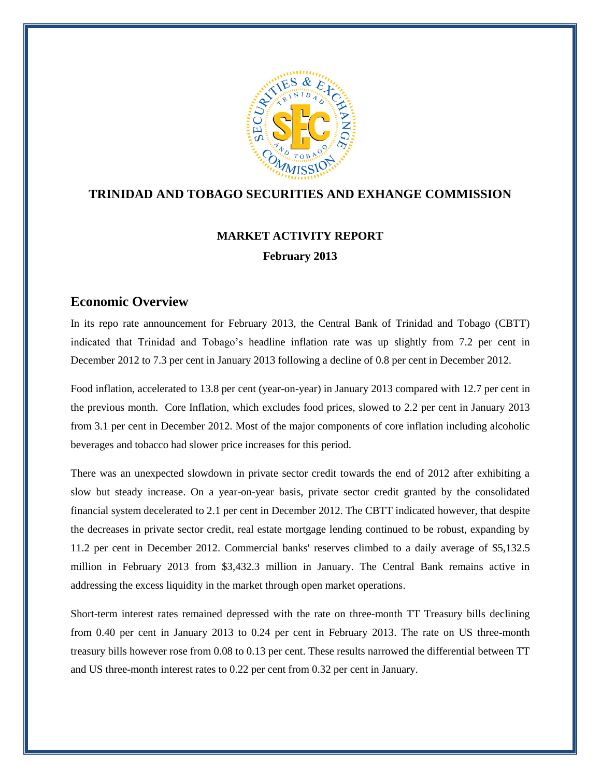

### **TRINIDAD AND TOBAGO SECURITIES AND EXHANGE COMMISSION**

# **MARKET ACTIVITY REPORT February 2013**

### **Economic Overview**

In its repo rate announcement for February 2013, the Central Bank of Trinidad and Tobago (CBTT) indicated that Trinidad and Tobago"s headline inflation rate was up slightly from 7.2 per cent in December 2012 to 7.3 per cent in January 2013 following a decline of 0.8 per cent in December 2012.

Food inflation, accelerated to 13.8 per cent (year-on-year) in January 2013 compared with 12.7 per cent in the previous month. Core Inflation, which excludes food prices, slowed to 2.2 per cent in January 2013 from 3.1 per cent in December 2012. Most of the major components of core inflation including alcoholic beverages and tobacco had slower price increases for this period.

There was an unexpected slowdown in private sector credit towards the end of 2012 after exhibiting a slow but steady increase. On a year-on-year basis, private sector credit granted by the consolidated financial system decelerated to 2.1 per cent in December 2012. The CBTT indicated however, that despite the decreases in private sector credit, real estate mortgage lending continued to be robust, expanding by 11.2 per cent in December 2012. Commercial banks' reserves climbed to a daily average of \$5,132.5 million in February 2013 from \$3,432.3 million in January. The Central Bank remains active in addressing the excess liquidity in the market through open market operations.

Short-term interest rates remained depressed with the rate on three-month TT Treasury bills declining from 0.40 per cent in January 2013 to 0.24 per cent in February 2013. The rate on US three-month treasury bills however rose from 0.08 to 0.13 per cent. These results narrowed the differential between TT and US three-month interest rates to 0.22 per cent from 0.32 per cent in January.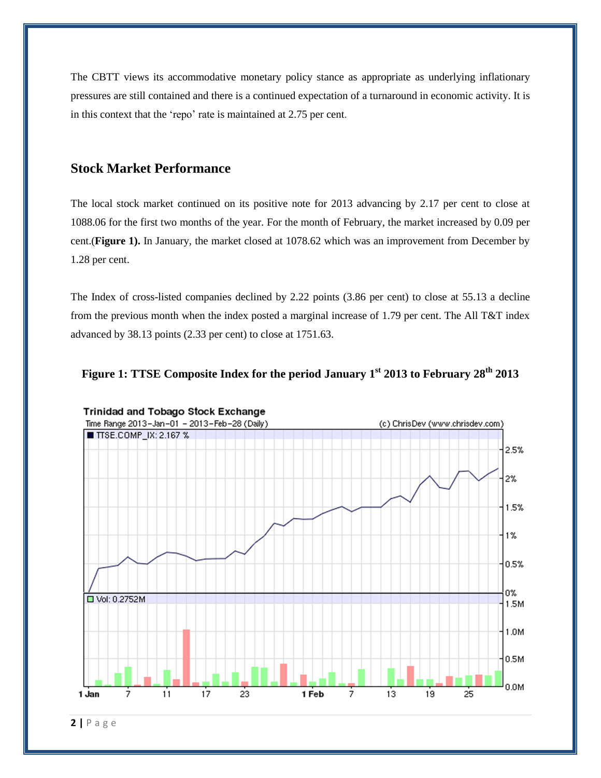The CBTT views its accommodative monetary policy stance as appropriate as underlying inflationary pressures are still contained and there is a continued expectation of a turnaround in economic activity. It is in this context that the 'repo' rate is maintained at 2.75 per cent.

### **Stock Market Performance**

The local stock market continued on its positive note for 2013 advancing by 2.17 per cent to close at 1088.06 for the first two months of the year. For the month of February, the market increased by 0.09 per cent.(**Figure 1).** In January, the market closed at 1078.62 which was an improvement from December by 1.28 per cent.

The Index of cross-listed companies declined by 2.22 points (3.86 per cent) to close at 55.13 a decline from the previous month when the index posted a marginal increase of 1.79 per cent. The All T&T index advanced by 38.13 points (2.33 per cent) to close at 1751.63.





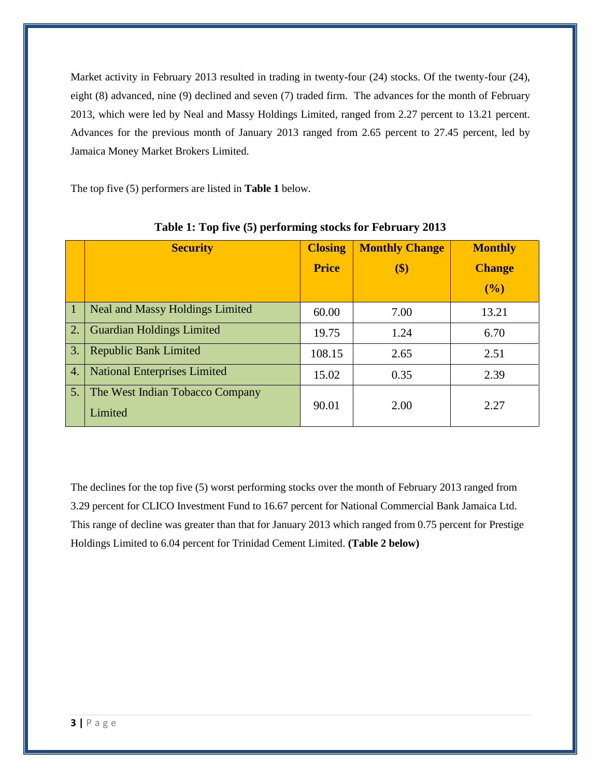Market activity in February 2013 resulted in trading in twenty-four (24) stocks. Of the twenty-four (24), eight (8) advanced, nine (9) declined and seven (7) traded firm. The advances for the month of February 2013, which were led by Neal and Massy Holdings Limited, ranged from 2.27 percent to 13.21 percent. Advances for the previous month of January 2013 ranged from 2.65 percent to 27.45 percent, led by Jamaica Money Market Brokers Limited.

The top five (5) performers are listed in **Table 1** below.

|             | <b>Security</b>                            | <b>Closing</b><br><b>Price</b> | <b>Monthly Change</b><br>$\left( \text{\$}\right)$ | <b>Monthly</b><br><b>Change</b><br>(%) |
|-------------|--------------------------------------------|--------------------------------|----------------------------------------------------|----------------------------------------|
| $\vert 1$   | <b>Neal and Massy Holdings Limited</b>     | 60.00                          | 7.00                                               | 13.21                                  |
| $\boxed{2}$ | <b>Guardian Holdings Limited</b>           | 19.75                          | 1.24                                               | 6.70                                   |
| 3.          | <b>Republic Bank Limited</b>               | 108.15                         | 2.65                                               | 2.51                                   |
| 4.          | <b>National Enterprises Limited</b>        | 15.02                          | 0.35                                               | 2.39                                   |
| 5.          | The West Indian Tobacco Company<br>Limited | 90.01                          | 2.00                                               | 2.27                                   |

**Table 1: Top five (5) performing stocks for February 2013**

The declines for the top five (5) worst performing stocks over the month of February 2013 ranged from 3.29 percent for CLICO Investment Fund to 16.67 percent for National Commercial Bank Jamaica Ltd. This range of decline was greater than that for January 2013 which ranged from 0.75 percent for Prestige Holdings Limited to 6.04 percent for Trinidad Cement Limited. **(Table 2 below)**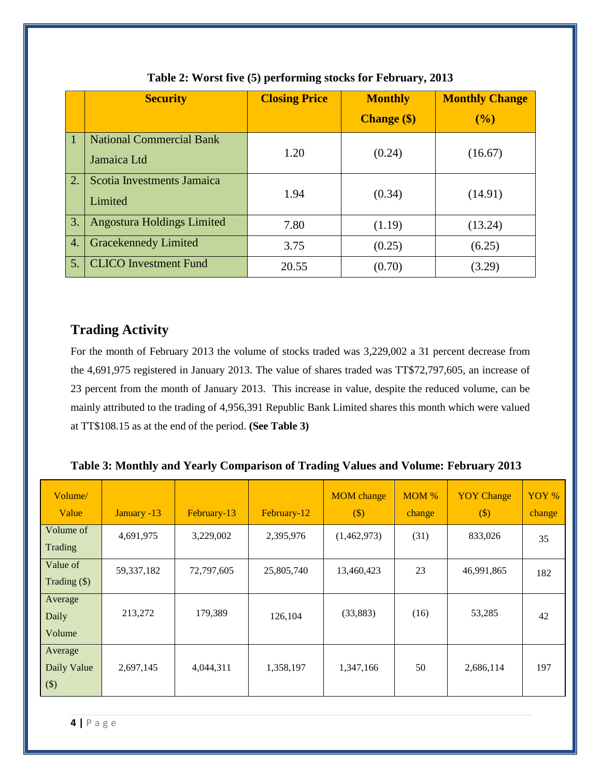|               | <b>Security</b>                                | <b>Closing Price</b> | <b>Monthly</b>     | <b>Monthly Change</b> |
|---------------|------------------------------------------------|----------------------|--------------------|-----------------------|
|               |                                                |                      | <b>Change</b> (\$) | (%)                   |
| $\mathbf \Pi$ | <b>National Commercial Bank</b><br>Jamaica Ltd | 1.20                 | (0.24)             | (16.67)               |
| 2.            | Scotia Investments Jamaica<br>Limited          | 1.94                 | (0.34)             | (14.91)               |
| 3.            | <b>Angostura Holdings Limited</b>              | 7.80                 | (1.19)             | (13.24)               |
| 4.            | <b>Gracekennedy Limited</b>                    | 3.75                 | (0.25)             | (6.25)                |
| 5.            | <b>CLICO</b> Investment Fund                   | 20.55                | (0.70)             | (3.29)                |

### **Table 2: Worst five (5) performing stocks for February, 2013**

## **Trading Activity**

For the month of February 2013 the volume of stocks traded was 3,229,002 a 31 percent decrease from the 4,691,975 registered in January 2013. The value of shares traded was TT\$72,797,605, an increase of 23 percent from the month of January 2013. This increase in value, despite the reduced volume, can be mainly attributed to the trading of 4,956,391 Republic Bank Limited shares this month which were valued at TT\$108.15 as at the end of the period. **(See Table 3)**

| Table 3: Monthly and Yearly Comparison of Trading Values and Volume: February 2013 |  |  |  |  |
|------------------------------------------------------------------------------------|--|--|--|--|
|                                                                                    |  |  |  |  |

| Volume/<br>Value                  | January -13 | February-13 | February-12 | <b>MOM</b> change<br>$\left( \text{\$}\right)$ | $MOM$ %<br>change | <b>YOY</b> Change<br>$(\$)$ | YOY %<br>change |
|-----------------------------------|-------------|-------------|-------------|------------------------------------------------|-------------------|-----------------------------|-----------------|
| Volume of<br>Trading              | 4,691,975   | 3,229,002   | 2,395,976   | (1,462,973)                                    | (31)              | 833,026                     | 35              |
| Value of<br>Trading $(\$)$        | 59,337,182  | 72,797,605  | 25,805,740  | 13,460,423                                     | 23                | 46,991,865                  | 182             |
| Average<br>Daily<br>Volume        | 213,272     | 179,389     | 126,104     | (33,883)                                       | (16)              | 53,285                      | 42              |
| Average<br>Daily Value<br>$($ \$) | 2,697,145   | 4,044,311   | 1,358,197   | 1,347,166                                      | 50                | 2,686,114                   | 197             |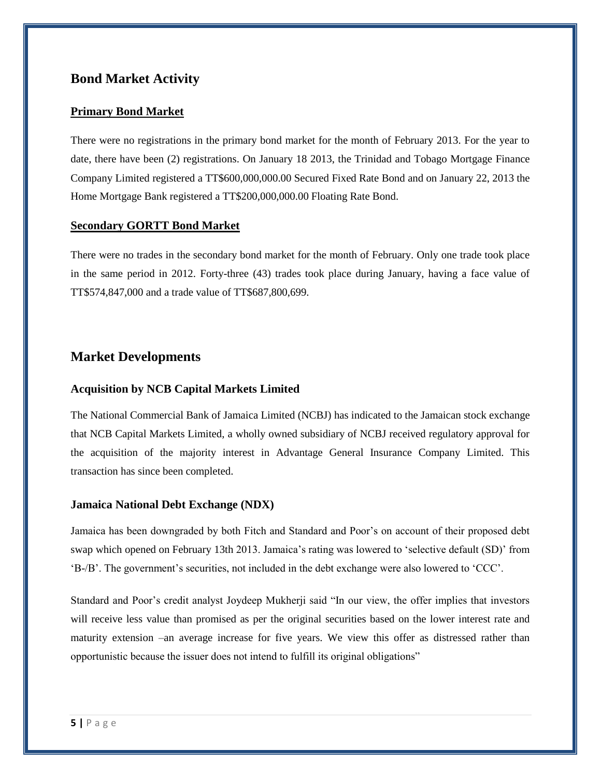### **Bond Market Activity**

#### **Primary Bond Market**

There were no registrations in the primary bond market for the month of February 2013. For the year to date, there have been (2) registrations. On January 18 2013, the Trinidad and Tobago Mortgage Finance Company Limited registered a TT\$600,000,000.00 Secured Fixed Rate Bond and on January 22, 2013 the Home Mortgage Bank registered a TT\$200,000,000.00 Floating Rate Bond.

#### **Secondary GORTT Bond Market**

There were no trades in the secondary bond market for the month of February. Only one trade took place in the same period in 2012. Forty-three (43) trades took place during January, having a face value of TT\$574,847,000 and a trade value of TT\$687,800,699.

### **Market Developments**

#### **Acquisition by NCB Capital Markets Limited**

The National Commercial Bank of Jamaica Limited (NCBJ) has indicated to the Jamaican stock exchange that NCB Capital Markets Limited, a wholly owned subsidiary of NCBJ received regulatory approval for the acquisition of the majority interest in Advantage General Insurance Company Limited. This transaction has since been completed.

#### **Jamaica National Debt Exchange (NDX)**

Jamaica has been downgraded by both Fitch and Standard and Poor"s on account of their proposed debt swap which opened on February 13th 2013. Jamaica's rating was lowered to 'selective default (SD)' from "B-/B". The government"s securities, not included in the debt exchange were also lowered to "CCC".

Standard and Poor"s credit analyst Joydeep Mukherji said "In our view, the offer implies that investors will receive less value than promised as per the original securities based on the lower interest rate and maturity extension –an average increase for five years. We view this offer as distressed rather than opportunistic because the issuer does not intend to fulfill its original obligations"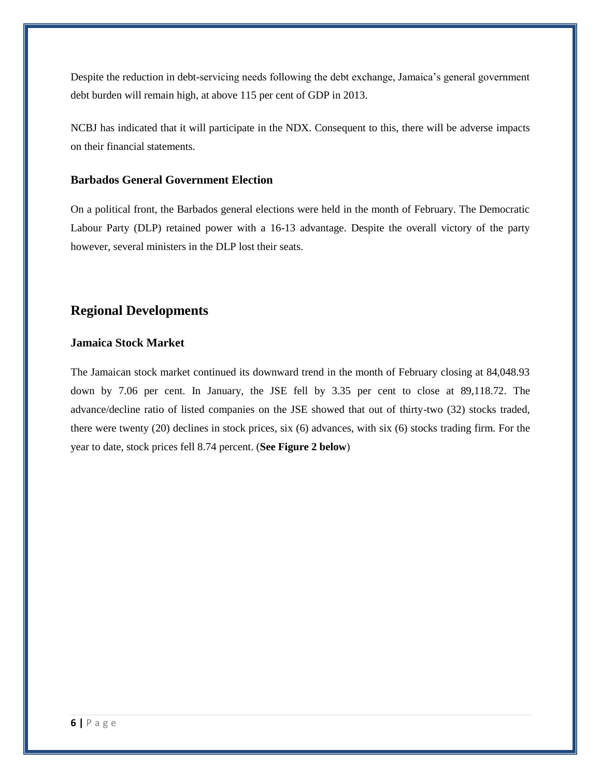Despite the reduction in debt-servicing needs following the debt exchange, Jamaica's general government debt burden will remain high, at above 115 per cent of GDP in 2013.

NCBJ has indicated that it will participate in the NDX. Consequent to this, there will be adverse impacts on their financial statements.

#### **Barbados General Government Election**

On a political front, the Barbados general elections were held in the month of February. The Democratic Labour Party (DLP) retained power with a 16-13 advantage. Despite the overall victory of the party however, several ministers in the DLP lost their seats.

### **Regional Developments**

#### **Jamaica Stock Market**

The Jamaican stock market continued its downward trend in the month of February closing at 84,048.93 down by 7.06 per cent. In January, the JSE fell by 3.35 per cent to close at 89,118.72. The advance/decline ratio of listed companies on the JSE showed that out of thirty-two (32) stocks traded, there were twenty (20) declines in stock prices, six (6) advances, with six (6) stocks trading firm. For the year to date, stock prices fell 8.74 percent. (**See Figure 2 below**)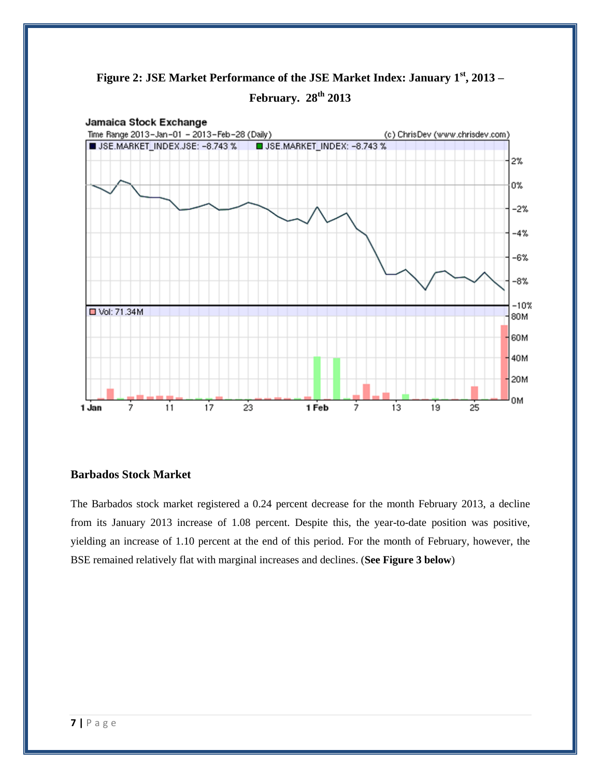



#### **Barbados Stock Market**

The Barbados stock market registered a 0.24 percent decrease for the month February 2013, a decline from its January 2013 increase of 1.08 percent. Despite this, the year-to-date position was positive, yielding an increase of 1.10 percent at the end of this period. For the month of February, however, the BSE remained relatively flat with marginal increases and declines. (**See Figure 3 below**)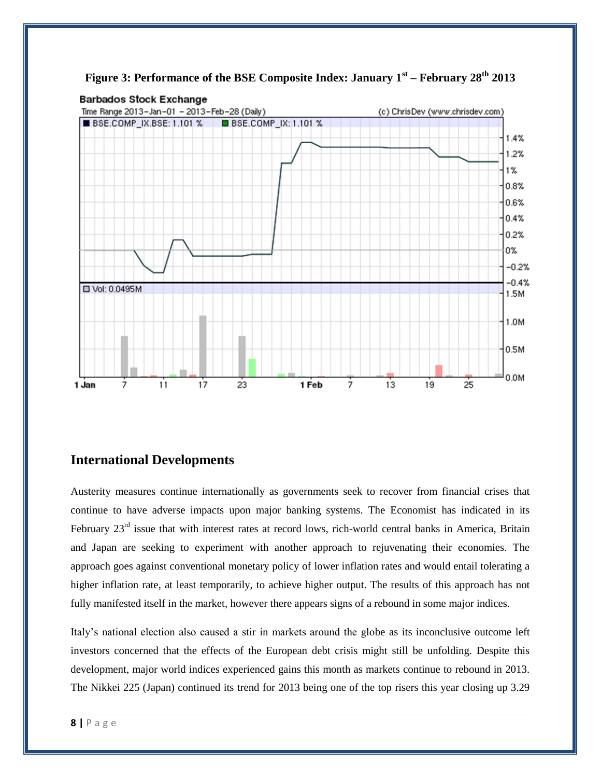

**Figure 3: Performance of the BSE Composite Index: January 1st – February 28th 2013**

#### **International Developments**

Austerity measures continue internationally as governments seek to recover from financial crises that continue to have adverse impacts upon major banking systems. The Economist has indicated in its February 23<sup>rd</sup> issue that with interest rates at record lows, rich-world central banks in America, Britain and Japan are seeking to experiment with another approach to rejuvenating their economies. The approach goes against conventional monetary policy of lower inflation rates and would entail tolerating a higher inflation rate, at least temporarily, to achieve higher output. The results of this approach has not fully manifested itself in the market, however there appears signs of a rebound in some major indices.

Italy"s national election also caused a stir in markets around the globe as its inconclusive outcome left investors concerned that the effects of the European debt crisis might still be unfolding. Despite this development, major world indices experienced gains this month as markets continue to rebound in 2013. The Nikkei 225 (Japan) continued its trend for 2013 being one of the top risers this year closing up 3.29